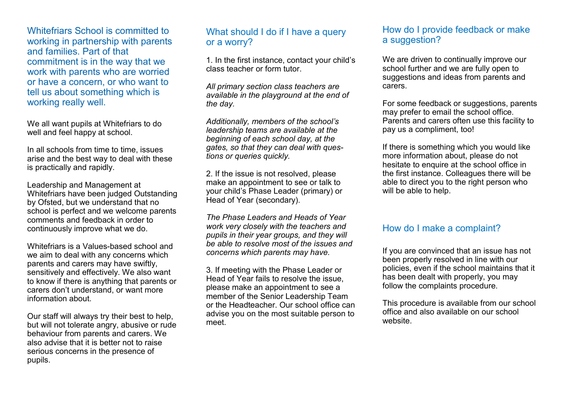Whitefriars School is committed to working in partnership with parents and families. Part of that commitment is in the way that we work with parents who are worried or have a concern, or who want to tell us about something which is working really well.

We all want pupils at Whitefriars to do well and feel happy at school.

In all schools from time to time, issues arise and the best way to deal with these is practically and rapidly.

Leadership and Management at Whitefriars have been judged Outstanding by Ofsted, but we understand that no school is perfect and we welcome parents comments and feedback in order to continuously improve what we do.

Whitefriars is a Values-based school and we aim to deal with any concerns which parents and carers may have swiftly, sensitively and effectively. We also want to know if there is anything that parents or carers don't understand, or want more information about.

Our staff will always try their best to help, but will not tolerate angry, abusive or rude behaviour from parents and carers. We also advise that it is better not to raise serious concerns in the presence of pupils.

## What should I do if I have a query or a worry?

1. In the first instance, contact your child's class teacher or form tutor.

*All primary section class teachers are available in the playground at the end of the day.* 

*Additionally, members of the school's leadership teams are available at the beginning of each school day, at the gates, so that they can deal with questions or queries quickly.*

2. If the issue is not resolved, please make an appointment to see or talk to your child's Phase Leader (primary) or Head of Year (secondary).

*The Phase Leaders and Heads of Year work very closely with the teachers and pupils in their year groups, and they will be able to resolve most of the issues and concerns which parents may have.*

3. If meeting with the Phase Leader or Head of Year fails to resolve the issue, please make an appointment to see a member of the Senior Leadership Team or the Headteacher. Our school office can advise you on the most suitable person to meet.

## How do I provide feedback or make a suggestion?

We are driven to continually improve our school further and we are fully open to suggestions and ideas from parents and carers.

For some feedback or suggestions, parents may prefer to email the school office. Parents and carers often use this facility to pay us a compliment, too!

If there is something which you would like more information about, please do not hesitate to enquire at the school office in the first instance. Colleagues there will be able to direct you to the right person who will be able to help.

### How do I make a complaint?

If you are convinced that an issue has not been properly resolved in line with our policies, even if the school maintains that it has been dealt with properly, you may follow the complaints procedure.

This procedure is available from our school office and also available on our school website.